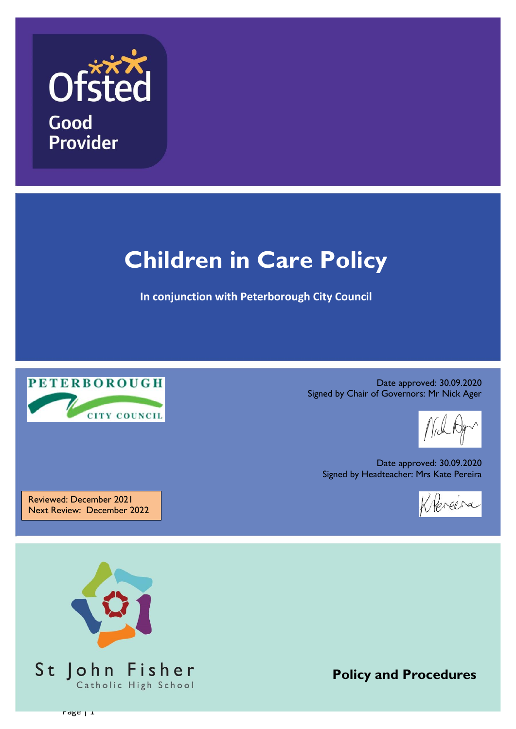

# **Children in Care Policy**

**In conjunction with Peterborough City Council**



Date approved: 30.09.2020 Signed by Chair of Governors: Mr Nick Ager

Date approved: 30.09.2020 Signed by Headteacher: Mrs Kate Pereira



Reviewed: December 2021 Next Review: December 2022

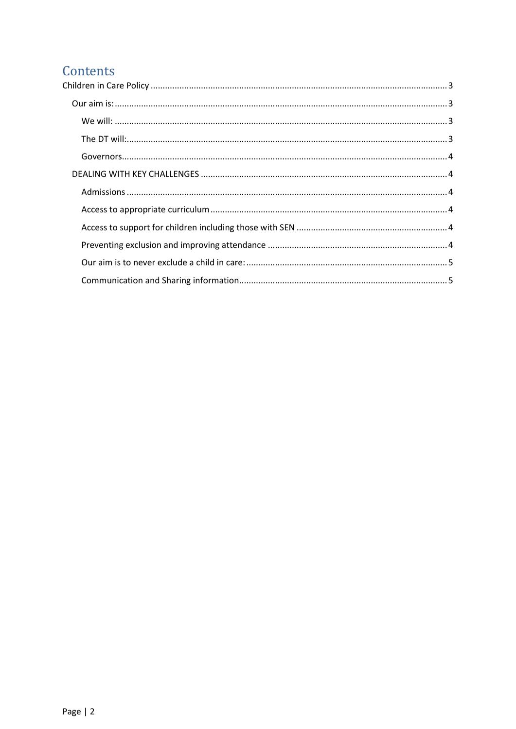## Contents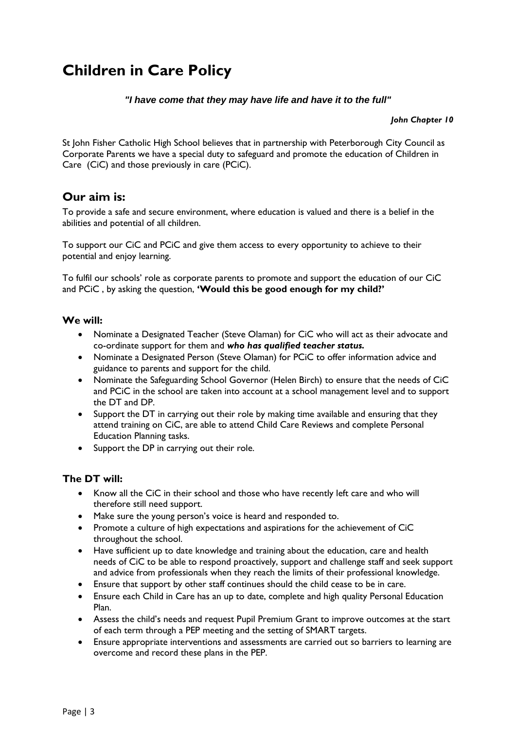# <span id="page-2-0"></span>**Children in Care Policy**

## *"I have come that they may have life and have it to the full"*

*John Chapter 10*

St John Fisher Catholic High School believes that in partnership with Peterborough City Council as Corporate Parents we have a special duty to safeguard and promote the education of Children in Care (CiC) and those previously in care (PCiC).

## <span id="page-2-1"></span>**Our aim is:**

To provide a safe and secure environment, where education is valued and there is a belief in the abilities and potential of all children.

To support our CiC and PCiC and give them access to every opportunity to achieve to their potential and enjoy learning.

To fulfil our schools' role as corporate parents to promote and support the education of our CiC and PCiC , by asking the question, **'Would this be good enough for my child?'**

#### <span id="page-2-2"></span>**We will:**

- Nominate a Designated Teacher (Steve Olaman) for CiC who will act as their advocate and co-ordinate support for them and *who has qualified teacher status.*
- Nominate a Designated Person (Steve Olaman) for PCiC to offer information advice and guidance to parents and support for the child.
- Nominate the Safeguarding School Governor (Helen Birch) to ensure that the needs of CiC and PCiC in the school are taken into account at a school management level and to support the DT and DP.
- Support the DT in carrying out their role by making time available and ensuring that they attend training on CiC, are able to attend Child Care Reviews and complete Personal Education Planning tasks.
- Support the DP in carrying out their role.

## <span id="page-2-3"></span>**The DT will:**

- Know all the CiC in their school and those who have recently left care and who will therefore still need support.
- Make sure the young person's voice is heard and responded to.
- Promote a culture of high expectations and aspirations for the achievement of CiC throughout the school.
- Have sufficient up to date knowledge and training about the education, care and health needs of CiC to be able to respond proactively, support and challenge staff and seek support and advice from professionals when they reach the limits of their professional knowledge.
- Ensure that support by other staff continues should the child cease to be in care.
- Ensure each Child in Care has an up to date, complete and high quality Personal Education Plan.
- Assess the child's needs and request Pupil Premium Grant to improve outcomes at the start of each term through a PEP meeting and the setting of SMART targets.
- Ensure appropriate interventions and assessments are carried out so barriers to learning are overcome and record these plans in the PEP.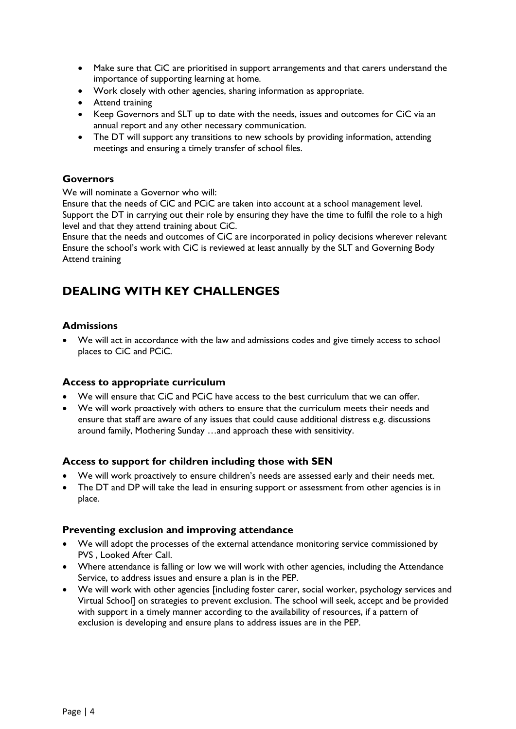- Make sure that CiC are prioritised in support arrangements and that carers understand the importance of supporting learning at home.
- Work closely with other agencies, sharing information as appropriate.
- **•** Attend training
- Keep Governors and SLT up to date with the needs, issues and outcomes for CiC via an annual report and any other necessary communication.
- The DT will support any transitions to new schools by providing information, attending meetings and ensuring a timely transfer of school files.

## <span id="page-3-0"></span>**Governors**

We will nominate a Governor who will:

Ensure that the needs of CiC and PCiC are taken into account at a school management level. Support the DT in carrying out their role by ensuring they have the time to fulfil the role to a high level and that they attend training about CiC.

Ensure that the needs and outcomes of CiC are incorporated in policy decisions wherever relevant Ensure the school's work with CiC is reviewed at least annually by the SLT and Governing Body Attend training

## <span id="page-3-1"></span>**DEALING WITH KEY CHALLENGES**

## <span id="page-3-2"></span>**Admissions**

 We will act in accordance with the law and admissions codes and give timely access to school places to CiC and PCiC.

## <span id="page-3-3"></span>**Access to appropriate curriculum**

- We will ensure that CiC and PCiC have access to the best curriculum that we can offer.
- We will work proactively with others to ensure that the curriculum meets their needs and ensure that staff are aware of any issues that could cause additional distress e.g. discussions around family, Mothering Sunday …and approach these with sensitivity.

## <span id="page-3-4"></span>**Access to support for children including those with SEN**

- We will work proactively to ensure children's needs are assessed early and their needs met.
- The DT and DP will take the lead in ensuring support or assessment from other agencies is in place.

#### <span id="page-3-5"></span>**Preventing exclusion and improving attendance**

- We will adopt the processes of the external attendance monitoring service commissioned by PVS , Looked After Call.
- Where attendance is falling or low we will work with other agencies, including the Attendance Service, to address issues and ensure a plan is in the PEP.
- We will work with other agencies [including foster carer, social worker, psychology services and Virtual School] on strategies to prevent exclusion. The school will seek, accept and be provided with support in a timely manner according to the availability of resources, if a pattern of exclusion is developing and ensure plans to address issues are in the PEP.